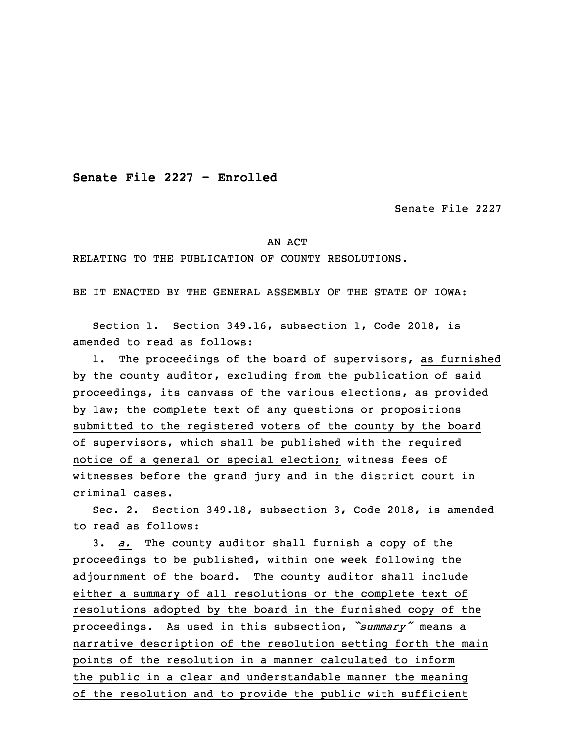**Senate File 2227 - Enrolled**

Senate File 2227

## AN ACT

## RELATING TO THE PUBLICATION OF COUNTY RESOLUTIONS.

BE IT ENACTED BY THE GENERAL ASSEMBLY OF THE STATE OF IOWA:

 Section 1. Section 349.16, subsection 1, Code 2018, is amended to read as follows:

1. The proceedings of the board of supervisors, as furnished by the county auditor, excluding from the publication of said proceedings, its canvass of the various elections, as provided by law; the complete text of any questions or propositions submitted to the registered voters of the county by the board of supervisors, which shall be published with the required notice of a general or special election; witness fees of witnesses before the grand jury and in the district court in criminal cases.

 Sec. 2. Section 349.18, subsection 3, Code 2018, is amended to read as follows:

 3. *a.* The county auditor shall furnish <sup>a</sup> copy of the proceedings to be published, within one week following the adjournment of the board. The county auditor shall include either a summary of all resolutions or the complete text of resolutions adopted by the board in the furnished copy of the <sup>19</sup> proceedings. As used in this subsection, *"summary"* means <sup>a</sup> narrative description of the resolution setting forth the main points of the resolution in <sup>a</sup> manner calculated to inform the public in <sup>a</sup> clear and understandable manner the meaning of the resolution and to provide the public with sufficient